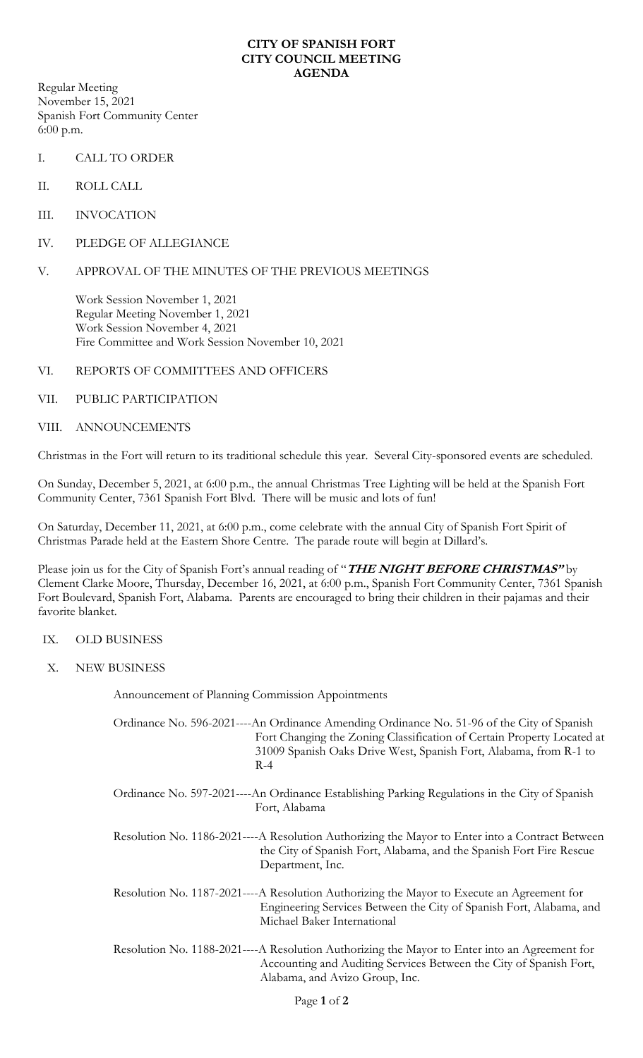### **CITY OF SPANISH FORT CITY COUNCIL MEETING AGENDA**

Regular Meeting November 15, 2021 Spanish Fort Community Center 6:00 p.m.

- I. CALL TO ORDER
- II. ROLL CALL
- III. INVOCATION
- IV. PLEDGE OF ALLEGIANCE

# V. APPROVAL OF THE MINUTES OF THE PREVIOUS MEETINGS

Work Session November 1, 2021 Regular Meeting November 1, 2021 Work Session November 4, 2021 Fire Committee and Work Session November 10, 2021

## VI. REPORTS OF COMMITTEES AND OFFICERS

## VII. PUBLIC PARTICIPATION

## VIII. ANNOUNCEMENTS

Christmas in the Fort will return to its traditional schedule this year. Several City-sponsored events are scheduled.

On Sunday, December 5, 2021, at 6:00 p.m., the annual Christmas Tree Lighting will be held at the Spanish Fort Community Center, 7361 Spanish Fort Blvd. There will be music and lots of fun!

On Saturday, December 11, 2021, at 6:00 p.m., come celebrate with the annual City of Spanish Fort Spirit of Christmas Parade held at the Eastern Shore Centre. The parade route will begin at Dillard's.

Please join us for the City of Spanish Fort's annual reading of "**THE NIGHT BEFORE CHRISTMAS"** by Clement Clarke Moore, Thursday, December 16, 2021, at 6:00 p.m., Spanish Fort Community Center, 7361 Spanish Fort Boulevard, Spanish Fort, Alabama. Parents are encouraged to bring their children in their pajamas and their favorite blanket.

## IX. OLD BUSINESS

X. NEW BUSINESS

Announcement of Planning Commission Appointments

Ordinance No. 596-2021----An Ordinance Amending Ordinance No. 51-96 of the City of Spanish Fort Changing the Zoning Classification of Certain Property Located at 31009 Spanish Oaks Drive West, Spanish Fort, Alabama, from R-1 to  $R-4$ 

Ordinance No. 597-2021----An Ordinance Establishing Parking Regulations in the City of Spanish Fort, Alabama

Resolution No. 1186-2021----A Resolution Authorizing the Mayor to Enter into a Contract Between the City of Spanish Fort, Alabama, and the Spanish Fort Fire Rescue Department, Inc.

- Resolution No. 1187-2021----A Resolution Authorizing the Mayor to Execute an Agreement for Engineering Services Between the City of Spanish Fort, Alabama, and Michael Baker International
- Resolution No. 1188-2021----A Resolution Authorizing the Mayor to Enter into an Agreement for Accounting and Auditing Services Between the City of Spanish Fort, Alabama, and Avizo Group, Inc.